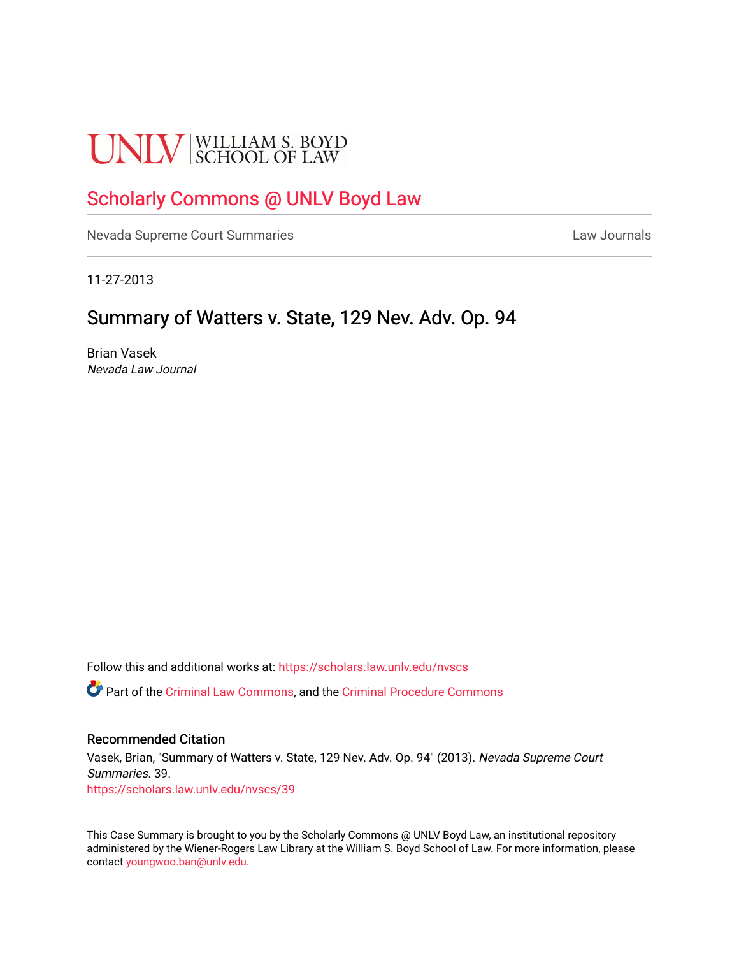# **UNLV** SCHOOL OF LAW

## [Scholarly Commons @ UNLV Boyd Law](https://scholars.law.unlv.edu/)

[Nevada Supreme Court Summaries](https://scholars.law.unlv.edu/nvscs) **Law Journals** Law Journals

11-27-2013

# Summary of Watters v. State, 129 Nev. Adv. Op. 94

Brian Vasek Nevada Law Journal

Follow this and additional works at: [https://scholars.law.unlv.edu/nvscs](https://scholars.law.unlv.edu/nvscs?utm_source=scholars.law.unlv.edu%2Fnvscs%2F39&utm_medium=PDF&utm_campaign=PDFCoverPages)

Part of the [Criminal Law Commons,](http://network.bepress.com/hgg/discipline/912?utm_source=scholars.law.unlv.edu%2Fnvscs%2F39&utm_medium=PDF&utm_campaign=PDFCoverPages) and the [Criminal Procedure Commons](http://network.bepress.com/hgg/discipline/1073?utm_source=scholars.law.unlv.edu%2Fnvscs%2F39&utm_medium=PDF&utm_campaign=PDFCoverPages)

#### Recommended Citation

Vasek, Brian, "Summary of Watters v. State, 129 Nev. Adv. Op. 94" (2013). Nevada Supreme Court Summaries. 39. [https://scholars.law.unlv.edu/nvscs/39](https://scholars.law.unlv.edu/nvscs/39?utm_source=scholars.law.unlv.edu%2Fnvscs%2F39&utm_medium=PDF&utm_campaign=PDFCoverPages) 

This Case Summary is brought to you by the Scholarly Commons @ UNLV Boyd Law, an institutional repository administered by the Wiener-Rogers Law Library at the William S. Boyd School of Law. For more information, please contact [youngwoo.ban@unlv.edu](mailto:youngwoo.ban@unlv.edu).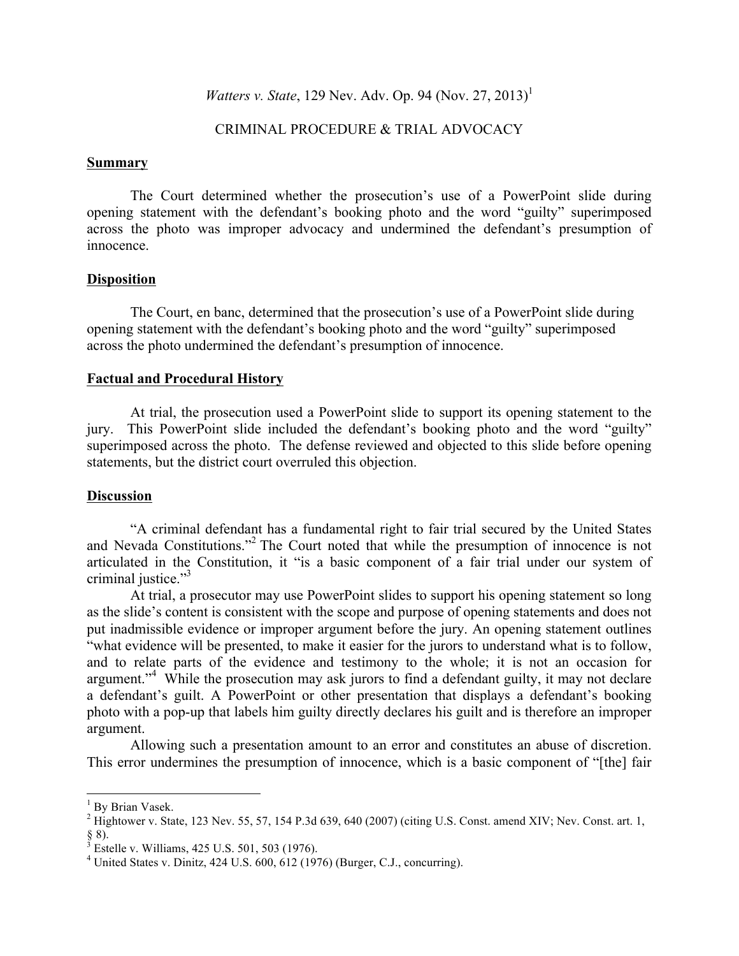*Watters v. State, 129 Nev. Adv. Op. 94 (Nov. 27, 2013)*<sup>1</sup>

## CRIMINAL PROCEDURE & TRIAL ADVOCACY

#### **Summary**

The Court determined whether the prosecution's use of a PowerPoint slide during opening statement with the defendant's booking photo and the word "guilty" superimposed across the photo was improper advocacy and undermined the defendant's presumption of innocence.

#### **Disposition**

The Court, en banc, determined that the prosecution's use of a PowerPoint slide during opening statement with the defendant's booking photo and the word "guilty" superimposed across the photo undermined the defendant's presumption of innocence.

#### **Factual and Procedural History**

At trial, the prosecution used a PowerPoint slide to support its opening statement to the jury. This PowerPoint slide included the defendant's booking photo and the word "guilty" superimposed across the photo. The defense reviewed and objected to this slide before opening statements, but the district court overruled this objection.

#### **Discussion**

"A criminal defendant has a fundamental right to fair trial secured by the United States and Nevada Constitutions."2 The Court noted that while the presumption of innocence is not articulated in the Constitution, it "is a basic component of a fair trial under our system of criminal justice."<sup>3</sup>

At trial, a prosecutor may use PowerPoint slides to support his opening statement so long as the slide's content is consistent with the scope and purpose of opening statements and does not put inadmissible evidence or improper argument before the jury. An opening statement outlines "what evidence will be presented, to make it easier for the jurors to understand what is to follow, and to relate parts of the evidence and testimony to the whole; it is not an occasion for argument."<sup>4</sup> While the prosecution may ask jurors to find a defendant guilty, it may not declare a defendant's guilt. A PowerPoint or other presentation that displays a defendant's booking photo with a pop-up that labels him guilty directly declares his guilt and is therefore an improper argument.

Allowing such a presentation amount to an error and constitutes an abuse of discretion. This error undermines the presumption of innocence, which is a basic component of "[the] fair

 $<sup>1</sup>$  By Brian Vasek.</sup>

<sup>&</sup>lt;sup>2</sup> Hightower v. State, 123 Nev. 55, 57, 154 P.3d 639, 640 (2007) (citing U.S. Const. amend XIV; Nev. Const. art. 1, § 8).

 $3^{3}$  Estelle v. Williams, 425 U.S. 501, 503 (1976).

 $4$  United States v. Dinitz, 424 U.S. 600, 612 (1976) (Burger, C.J., concurring).